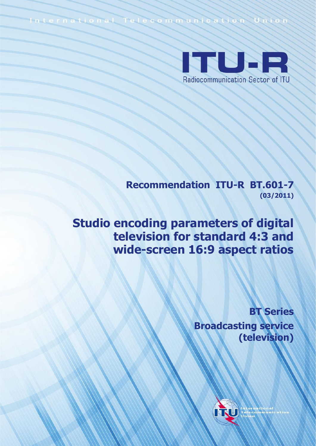International Telecommunication Union



**Recommendation ITU-R BT.601-7 (03/2011)**

**Studio encoding parameters of digital television for standard 4:3 and wide-screen 16:9 aspect ratios**

> **BT Series Broadcasting service (television)**

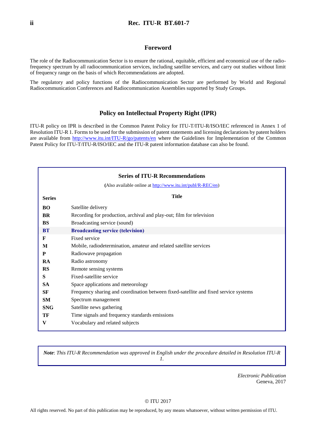#### **Foreword**

The role of the Radiocommunication Sector is to ensure the rational, equitable, efficient and economical use of the radiofrequency spectrum by all radiocommunication services, including satellite services, and carry out studies without limit of frequency range on the basis of which Recommendations are adopted.

The regulatory and policy functions of the Radiocommunication Sector are performed by World and Regional Radiocommunication Conferences and Radiocommunication Assemblies supported by Study Groups.

#### **Policy on Intellectual Property Right (IPR)**

ITU-R policy on IPR is described in the Common Patent Policy for ITU-T/ITU-R/ISO/IEC referenced in Annex 1 of Resolution ITU-R 1. Forms to be used for the submission of patent statements and licensing declarations by patent holders are available from<http://www.itu.int/ITU-R/go/patents/en> where the Guidelines for Implementation of the Common Patent Policy for ITU-T/ITU-R/ISO/IEC and the ITU-R patent information database can also be found.

|               | <b>Series of ITU-R Recommendations</b>                                               |
|---------------|--------------------------------------------------------------------------------------|
|               | (Also available online at http://www.itu.int/publ/R-REC/en)                          |
| <b>Series</b> | <b>Title</b>                                                                         |
| <b>BO</b>     | Satellite delivery                                                                   |
| <b>BR</b>     | Recording for production, archival and play-out; film for television                 |
| <b>BS</b>     | Broadcasting service (sound)                                                         |
| <b>BT</b>     | <b>Broadcasting service (television)</b>                                             |
| F             | Fixed service                                                                        |
| M             | Mobile, radiodetermination, amateur and related satellite services                   |
| P             | Radiowave propagation                                                                |
| <b>RA</b>     | Radio astronomy                                                                      |
| <b>RS</b>     | Remote sensing systems                                                               |
| S             | Fixed-satellite service                                                              |
| <b>SA</b>     | Space applications and meteorology                                                   |
| SF            | Frequency sharing and coordination between fixed-satellite and fixed service systems |
| <b>SM</b>     | Spectrum management                                                                  |
| <b>SNG</b>    | Satellite news gathering                                                             |
| TF            | Time signals and frequency standards emissions                                       |
| V             | Vocabulary and related subjects                                                      |
|               |                                                                                      |

*Note*: *This ITU-R Recommendation was approved in English under the procedure detailed in Resolution ITU-R 1.*

> *Electronic Publication* Geneva, 2017

#### © ITU 2017

All rights reserved. No part of this publication may be reproduced, by any means whatsoever, without written permission of ITU.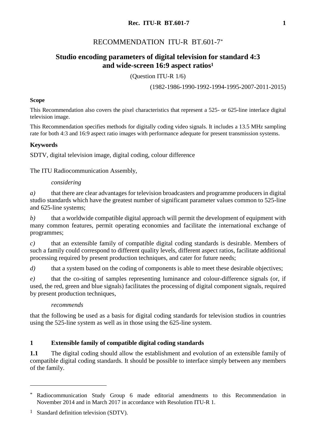# RECOMMENDATION ITU-R BT.601-7\*

# **Studio encoding parameters of digital television for standard 4:3 and wide-screen 16:9 aspect ratios<sup>1</sup>**

(Question ITU-R 1/6)

(1982-1986-1990-1992-1994-1995-2007-2011-2015)

### **Scope**

This Recommendation also covers the pixel characteristics that represent a 525- or 625-line interlace digital television image.

This Recommendation specifies methods for digitally coding video signals. It includes a 13.5 MHz sampling rate for both 4:3 and 16:9 aspect ratio images with performance adequate for present transmission systems.

## **Keywords**

SDTV, digital television image, digital coding, colour difference

The ITU Radiocommunication Assembly,

### *considering*

*a)* that there are clear advantages for television broadcasters and programme producers in digital studio standards which have the greatest number of significant parameter values common to 525-line and 625-line systems;

*b)* that a worldwide compatible digital approach will permit the development of equipment with many common features, permit operating economies and facilitate the international exchange of programmes;

*c)* that an extensible family of compatible digital coding standards is desirable. Members of such a family could correspond to different quality levels, different aspect ratios, facilitate additional processing required by present production techniques, and cater for future needs;

*d*) that a system based on the coding of components is able to meet these desirable objectives;

*e)* that the co-siting of samples representing luminance and colour-difference signals (or, if used, the red, green and blue signals) facilitates the processing of digital component signals, required by present production techniques,

### *recommends*

that the following be used as a basis for digital coding standards for television studios in countries using the 525-line system as well as in those using the 625-line system.

## **1 Extensible family of compatible digital coding standards**

**1.1** The digital coding should allow the establishment and evolution of an extensible family of compatible digital coding standards. It should be possible to interface simply between any members of the family.

1

<sup>\*</sup> Radiocommunication Study Group 6 made editorial amendments to this Recommendation in November 2014 and in March 2017 in accordance with Resolution ITU-R 1.

<sup>&</sup>lt;sup>1</sup> Standard definition television (SDTV).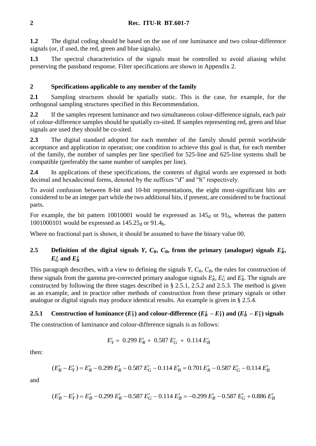**1.2** The digital coding should be based on the use of one luminance and two colour-difference signals (or, if used, the red, green and blue signals).

**1.3** The spectral characteristics of the signals must be controlled to avoid aliasing whilst preserving the passband response. Filter specifications are shown in Appendix 2.

# **2 Specifications applicable to any member of the family**

**2.1** Sampling structures should be spatially static. This is the case, for example, for the orthogonal sampling structures specified in this Recommendation.

**2.2** If the samples represent luminance and two simultaneous colour-difference signals, each pair of colour-difference samples should be spatially co-sited. If samples representing red, green and blue signals are used they should be co-sited.

**2.3** The digital standard adopted for each member of the family should permit worldwide acceptance and application in operation; one condition to achieve this goal is that, for each member of the family, the number of samples per line specified for 525-line and 625-line systems shall be compatible (preferably the same number of samples per line).

**2.4** In applications of these specifications, the contents of digital words are expressed in both decimal and hexadecimal forms, denoted by the suffixes "d" and "h" respectively.

To avoid confusion between 8-bit and 10-bit representations, the eight most-significant bits are considered to be an integer part while the two additional bits, if present, are considered to be fractional parts.

For example, the bit pattern 10010001 would be expressed as  $145_d$  or  $91_h$ , whereas the pattern 1001000101 would be expressed as  $145.25_d$  or 91.4h.

Where no fractional part is shown, it should be assumed to have the binary value 00.

# **2.5 Definition of the digital signals** *Y***,**  $C_R$ **,**  $C_B$ **, from the primary (analogue) signals**  $E'_R$ **,**  $E_G$  and  $E_B$

This paragraph describes, with a view to defining the signals *Y*, *CR*, *CB*, the rules for construction of these signals from the gamma pre-corrected primary analogue signals  $E_R$ ,  $E_G$  and  $E_B$ . The signals are constructed by following the three stages described in § 2.5.1, 2.5.2 and 2.5.3. The method is given as an example, and in practice other methods of construction from these primary signals or other analogue or digital signals may produce identical results. An example is given in § 2.5.4.

# **2.5.1** Construction of luminance  $(E'_Y)$  and colour-difference  $(E'_R - E'_Y)$  and  $(E'_B - E'_Y)$  signals

The construction of luminance and colour-difference signals is as follows:

$$
E'_Y = 0.299 E'_R + 0.587 E'_G + 0.114 E'_B
$$

then:

$$
(E'_R - E'_Y) = E'_R - 0.299 E'_R - 0.587 E'_G - 0.114 E'_B = 0.701 E'_R - 0.587 E'_G - 0.114 E'_B
$$

and

$$
(E'_B - E'_Y) = E'_B - 0.299 E'_R - 0.587 E'_G - 0.114 E'_B = -0.299 E'_R - 0.587 E'_G + 0.886 E'_B
$$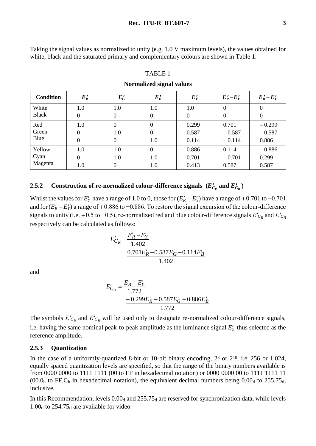Taking the signal values as normalized to unity (e.g. 1.0 V maximum levels), the values obtained for white, black and the saturated primary and complementary colours are shown in Table 1.

| <b>Condition</b> | $E_R'$           | $E_G'$           | $E_B'$         | $E_Y$ | $E_R'$ – $E_Y'$ | $E_B^{\prime} - E_Y^{\prime}$ |
|------------------|------------------|------------------|----------------|-------|-----------------|-------------------------------|
| White            | $1.0\,$          | 1.0              | 1.0            | 1.0   | $\Omega$        | 0                             |
| <b>Black</b>     | $\overline{0}$   | $\boldsymbol{0}$ | $\theta$       | 0     | $\Omega$        | 0                             |
| Red              | 1.0              | $\boldsymbol{0}$ | $\theta$       | 0.299 | 0.701           | $-0.299$                      |
| Green            | $\boldsymbol{0}$ | 1.0              | $\theta$       | 0.587 | $-0.587$        | $-0.587$                      |
| Blue             | $\Omega$         | $\theta$         | 1.0            | 0.114 | $-0.114$        | 0.886                         |
| Yellow           | 1.0              | 1.0              | $\overline{0}$ | 0.886 | 0.114           | $-0.886$                      |
| Cyan             | $\Omega$         | 1.0              | 1.0            | 0.701 | $-0.701$        | 0.299                         |
| Magenta          | $1.0\,$          | 0                | 1.0            | 0.413 | 0.587           | 0.587                         |
|                  |                  |                  |                |       |                 |                               |

# TABLE 1 **Normalized signal values**

# **2.5.2 Construction of re-normalized colour-difference signals**  $(E'_{C_R} \text{ and } E'_{C_B})$

Whilst the values for  $E'_Y$  have a range of 1.0 to 0, those for  $(E'_R - E'_Y)$  have a range of +0.701 to -0.701 and for  $(E^{\prime}_B - E^{\prime}_Y)$  a range of +0.886 to −0.886. To restore the signal excursion of the colour-difference signals to unity (i.e. +0.5 to -0.5), re-normalized red and blue colour-difference signals  $E'_{C_R}$  and  $E'_{C_B}$ respectively can be calculated as follows:

$$
E'_{C_R} = \frac{E'_R - E'_Y}{1.402}
$$
  
= 
$$
\frac{0.701E'_R - 0.587E'_G - 0.114E'_B}{1.402}
$$

and

$$
E'_{C_B} = \frac{E'_B - E'_Y}{1.772}
$$
  
= 
$$
\frac{-0.299E'_R - 0.587E'_G + 0.886E'_B}{1.772}
$$

The symbols  $E'_{C_R}$  and  $E'_{C_B}$  will be used only to designate re-normalized colour-difference signals, i.e. having the same nominal peak-to-peak amplitude as the luminance signal *EY* thus selected as the reference amplitude.

#### **2.5.3 Quantization**

In the case of a uniformly-quantized 8-bit or 10-bit binary encoding,  $2^8$  or  $2^{10}$ , i.e. 256 or 1024, equally spaced quantization levels are specified, so that the range of the binary numbers available is from 0000 0000 to 1111 1111 (00 to FF in hexadecimal notation) or 0000 0000 00 to 1111 1111 11 (00.0<sub>h</sub> to FF.C<sub>h</sub> in hexadecimal notation), the equivalent decimal numbers being  $0.00<sub>d</sub>$  to 255.75<sub>d</sub>, inclusive.

In this Recommendation, levels  $0.00<sub>d</sub>$  and  $255.75<sub>d</sub>$  are reserved for synchronization data, while levels 1.00 $_d$  to 254.75 $_d$  are available for video.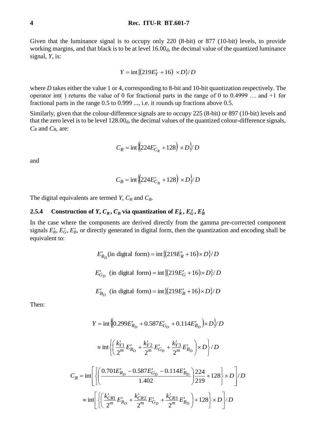Given that the luminance signal is to occupy only 220 (8-bit) or 877 (10-bit) levels, to provide working margins, and that black is to be at level 16.00<sub>d</sub>, the decimal value of the quantized luminance signal, *Y*, is:

$$
Y = \text{int}\left\{ \frac{219E'_Y + 16}{2} \times D \right\} / D
$$

where *D* takes either the value 1 or 4, corresponding to 8-bit and 10-bit quantization respectively. The operator int( ) returns the value of 0 for fractional parts in the range of 0 to 0.4999 … and +1 for fractional parts in the range 0.5 to 0.999 ..., i.e. it rounds up fractions above 0.5.

Similarly, given that the colour-difference signals are to occupy 225 (8-bit) or 897 (10-bit) levels and that the zero level is to be level  $128.00<sub>d</sub>$ , the decimal values of the quantized colour-difference signals, *C<sup>R</sup>* and *CB*, are:

$$
C_R = \text{int}\left(\frac{224E_{C_R}'}{24E_{C_R}'} + 128\right) \times D \cdot D
$$

and

$$
C_B = \text{int}\left(224E'_{C_B} + 128\right) \times D \cdot D \cdot D
$$

The digital equivalents are termed *Y*,  $C_R$  and  $C_B$ .

### **2.5.4 Construction of** *Y***,**  $C_R$ **,**  $C_B$  **via quantization of**  $E_R^t$ **,**  $E_G^t$ **,**  $E_B^t$

In the case where the components are derived directly from the gamma pre-corrected component signals  $E'_R$ ,  $E'_G$ ,  $E'_B$ , or directly generated in digital form, then the quantization and encoding shall be equivalent to:

$$
E'_{R_D}
$$
(in digital form) = int  $\{(219E'_R + 16) \times D\}/D$   

$$
E'_{G_D}
$$
 (in digital form) = int  $\{(219E'_G + 16) \times D\}/D$   

$$
E'_{B_D}
$$
 (in digital form) = int  $\{(219E'_B + 16) \times D\}/D$ 

Then:

$$
Y = \text{int} \left\{ \left( 0.299 E'_{R_D} + 0.587 E'_{G_D} + 0.114 E'_{B_D} \right) \times D \right\} / D
$$
  

$$
\approx \text{int} \left\{ \left( \frac{k'_{Y1}}{2^m} E'_{R_D} + \frac{k'_{Y2}}{2^m} E'_{G_D} + \frac{k'_{Y3}}{2^m} E'_{B_D} \right) \times D \right\} / D
$$
  

$$
C_R = \text{int} \left\{ \left( \frac{0.701 E'_{R_D} - 0.587 E'_{G_D} - 0.114 E'_{B_D}}{1.402} \right) \frac{224}{219} + 128 \right\} \times D \left\{ D \right\}
$$
  

$$
\approx \text{int} \left\{ \left( \frac{k'_{CR1}}{2^m} E'_{R_D} + \frac{k'_{CR2}}{2^m} E'_{G_D} + \frac{k'_{CR3}}{2^m} E'_{B_D} \right) + 128 \right\} \times D \left\{ D \right\}
$$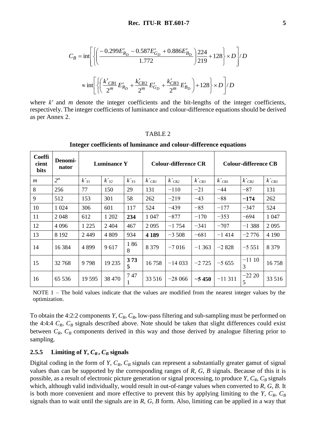$$
C_B = \text{int}\left[ \left\{ \left( \frac{-0.299E'_{R_D} - 0.587E'_{G_D} + 0.886E'_{B_D}}{1.772} \right) \frac{224}{219} + 128 \right\} \times D \right] / D
$$
  

$$
\approx \text{int}\left[ \left\{ \left( \frac{k'_{CB1}}{2^m} E'_{R_D} + \frac{k'_{CB2}}{2^m} E'_{G_D} + \frac{k'_{CB3}}{2^m} E'_{B_D} \right) + 128 \right\} \times D \right] / D
$$

where *k'* and *m* denote the integer coefficients and the bit-lengths of the integer coefficients, respectively. The integer coefficients of luminance and colour-difference equations should be derived as per Annex 2.

#### TABLE 2

**Integer coefficients of luminance and colour-difference equations**

| <b>Coeffi</b><br>cient<br><b>bits</b> | Denomi-<br>nator | <b>Luminance Y</b> |           | <b>Colour-difference CR</b> |                    | <b>Colour-difference CB</b> |           |                    |                    |            |
|---------------------------------------|------------------|--------------------|-----------|-----------------------------|--------------------|-----------------------------|-----------|--------------------|--------------------|------------|
| $\boldsymbol{m}$                      | $2^m$            | $k\gamma$          | $k'_{Y2}$ | $k'_{Y3}$                   | $k$ <sub>CR1</sub> | $k$ <sub>CR2</sub>          | $k_{CR3}$ | $k$ <sub>CB1</sub> | $k$ <sub>CB2</sub> | $k'_{CB3}$ |
| 8                                     | 256              | 77                 | 150       | 29                          | 131                | $-110$                      | $-21$     | $-44$              | $-87$              | 131        |
| 9                                     | 512              | 153                | 301       | 58                          | 262                | $-219$                      | $-43$     | $-88$              | $-174$             | 262        |
| 10                                    | 1 0 24           | 306                | 601       | 117                         | 524                | $-439$                      | $-85$     | $-177$             | $-347$             | 524        |
| 11                                    | 2048             | 612                | 1 202     | 234                         | 1 0 4 7            | $-877$                      | $-170$    | $-353$             | $-694$             | 1 0 4 7    |
| 12                                    | 4 0 9 6          | 1 2 2 5            | 2 4 0 4   | 467                         | 2095               | $-1754$                     | $-341$    | $-707$             | $-1388$            | 2 0 9 5    |
| 13                                    | 8 1 9 2          | 2449               | 4 8 0 9   | 934                         | 4 1 8 9            | $-3508$                     | $-681$    | $-1414$            | $-2776$            | 4 1 9 0    |
| 14                                    | 16 3 84          | 4899               | 9617      | 186<br>8                    | 8 3 7 9            | $-7016$                     | $-1363$   | $-2828$            | $-5551$            | 8 3 7 9    |
| 15                                    | 32 768           | 9798               | 19 235    | 373<br>5                    | 16758              | $-14033$                    | $-2725$   | $-5655$            | $-1110$<br>3       | 16758      |
| 16                                    | 65 536           | 19 5 95            | 38 470    | 747<br>1                    | 33 516             | $-28066$                    | $-5450$   | $-11311$           | $-2220$<br>5       | 33 516     |

NOTE 1 – The bold values indicate that the values are modified from the nearest integer values by the optimization.

To obtain the 4:2:2 components *Y*, *CR*, *CB*, low-pass filtering and sub-sampling must be performed on the 4:4:4  $C_R$ ,  $C_B$  signals described above. Note should be taken that slight differences could exist between  $C_R$ ,  $C_B$  components derived in this way and those derived by analogue filtering prior to sampling.

#### 2.5.5 **Limiting of** *Y***,**  $C_R$ **,**  $C_B$  **signals**

Digital coding in the form of *Y*,  $C_R$ ,  $C_B$  signals can represent a substantially greater gamut of signal values than can be supported by the corresponding ranges of *R*, *G*, *B* signals. Because of this it is possible, as a result of electronic picture generation or signal processing, to produce  $Y, C_R, C_B$  signals which, although valid individually, would result in out-of-range values when converted to *R*, *G*, *B*. It is both more convenient and more effective to prevent this by applying limiting to the *Y*,  $C_R$ ,  $C_B$ signals than to wait until the signals are in *R, G, B* form. Also, limiting can be applied in a way that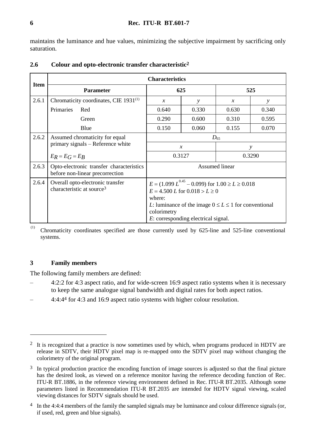maintains the luminance and hue values, minimizing the subjective impairment by sacrificing only saturation.

|             | <b>Characteristics</b>                                                                               |                                                                                                                                                                          |                                     |               |        |  |
|-------------|------------------------------------------------------------------------------------------------------|--------------------------------------------------------------------------------------------------------------------------------------------------------------------------|-------------------------------------|---------------|--------|--|
| <b>Item</b> | <b>Parameter</b>                                                                                     |                                                                                                                                                                          | 625                                 | 525           |        |  |
| 2.6.1       | Chromaticity coordinates, CIE 1931 <sup>(1)</sup>                                                    | $\mathcal{X}$                                                                                                                                                            | $\mathcal{V}$                       | $\mathcal{X}$ | у      |  |
|             | Primaries<br>Red                                                                                     | 0.640                                                                                                                                                                    | 0.330                               | 0.630         | 0.340  |  |
|             | Green                                                                                                | 0.290                                                                                                                                                                    | 0.600                               | 0.310         | 0.595  |  |
|             | Blue                                                                                                 | 0.150                                                                                                                                                                    | 0.060                               | 0.155         | 0.070  |  |
| 2.6.2       | Assumed chromaticity for equal                                                                       | $D_{65}$                                                                                                                                                                 |                                     |               |        |  |
|             | primary signals – Reference white                                                                    | $\mathcal{X}$                                                                                                                                                            |                                     | у             |        |  |
|             | $E_R = E_G = E_R$                                                                                    | 0.3127                                                                                                                                                                   |                                     |               | 0.3290 |  |
| 2.6.3       | <b>Assumed linear</b><br>Opto-electronic transfer characteristics<br>before non-linear precorrection |                                                                                                                                                                          |                                     |               |        |  |
| 2.6.4       | Overall opto-electronic transfer<br>characteristic at source <sup>3</sup>                            | $E = (1.099 L^{0.45} - 0.099)$ for $1.00 \ge L \ge 0.018$<br>$E = 4.500 L$ for $0.018 > L \ge 0$<br>where:<br>L: luminance of the image $0 \le L \le 1$ for conventional |                                     |               |        |  |
|             |                                                                                                      | colorimetry                                                                                                                                                              | E: corresponding electrical signal. |               |        |  |

## **2.6 Colour and opto-electronic transfer characteristic2**

 $(1)$  Chromaticity coordinates specified are those currently used by 625-line and 525-line conventional systems.

## **3 Family members**

<u>.</u>

The following family members are defined:

- 4:2:2 for 4:3 aspect ratio, and for wide-screen 16:9 aspect ratio systems when it is necessary to keep the same analogue signal bandwidth and digital rates for both aspect ratios.
- 4:4:44 for 4:3 and 16:9 aspect ratio systems with higher colour resolution.

<sup>&</sup>lt;sup>2</sup> It is recognized that a practice is now sometimes used by which, when programs produced in HDTV are release in SDTV, their HDTV pixel map is re-mapped onto the SDTV pixel map without changing the colorimetry of the original program.

<sup>&</sup>lt;sup>3</sup> In typical production practice the encoding function of image sources is adjusted so that the final picture has the desired look, as viewed on a reference monitor having the reference decoding function of Rec. ITU-R BT.1886, in the reference viewing environment defined in Rec. ITU-R BT.2035. Although some parameters listed in Recommendation ITU-R BT.2035 are intended for HDTV signal viewing, scaled viewing distances for SDTV signals should be used.

<sup>&</sup>lt;sup>4</sup> In the 4:4:4 members of the family the sampled signals may be luminance and colour difference signals (or, if used, red, green and blue signals).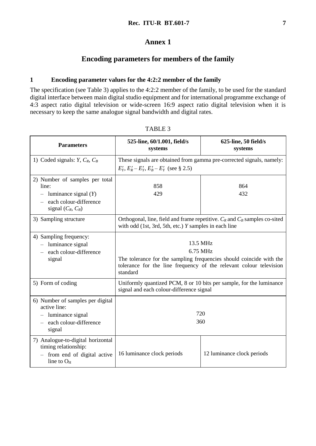## **Annex 1**

# **Encoding parameters for members of the family**

### **1 Encoding parameter values for the 4:2:2 member of the family**

The specification (see Table 3) applies to the 4:2:2 member of the family, to be used for the standard digital interface between main digital studio equipment and for international programme exchange of 4:3 aspect ratio digital television or wide-screen 16:9 aspect ratio digital television when it is necessary to keep the same analogue signal bandwidth and digital rates.

| <b>Parameters</b>                                                                                                                              | 525-line, 60/1.001, field/s<br>625-line, 50 field/s<br>systems<br>systems                                                                                                     |                                                                      |  |
|------------------------------------------------------------------------------------------------------------------------------------------------|-------------------------------------------------------------------------------------------------------------------------------------------------------------------------------|----------------------------------------------------------------------|--|
| 1) Coded signals: $Y, C_R, C_B$                                                                                                                | $E'_Y, E'_R - E'_Y, E'_B - E'_Y$ (see § 2.5)                                                                                                                                  | These signals are obtained from gamma pre-corrected signals, namely: |  |
| 2) Number of samples per total<br>line:<br>luminance signal $(Y)$<br>$\overline{\phantom{0}}$<br>each colour-difference<br>signal $(C_R, C_B)$ | 858<br>864<br>429<br>432                                                                                                                                                      |                                                                      |  |
| 3) Sampling structure                                                                                                                          | Orthogonal, line, field and frame repetitive. $C_R$ and $C_B$ samples co-sited<br>with odd $(1st, 3rd, 5th, etc.)$ Y samples in each line                                     |                                                                      |  |
| 4) Sampling frequency:<br>$-$ luminance signal<br>each colour-difference<br>$\overline{\phantom{0}}$<br>signal                                 | 13.5 MHz<br>6.75 MHz<br>The tolerance for the sampling frequencies should coincide with the<br>tolerance for the line frequency of the relevant colour television<br>standard |                                                                      |  |
| 5) Form of coding                                                                                                                              | Uniformly quantized PCM, 8 or 10 bits per sample, for the luminance<br>signal and each colour-difference signal                                                               |                                                                      |  |
| 6) Number of samples per digital<br>active line:<br>$-$ luminance signal<br>- each colour-difference<br>signal                                 | 720<br>360                                                                                                                                                                    |                                                                      |  |
| 7) Analogue-to-digital horizontal<br>timing relationship:<br>- from end of digital active<br>line to $O_H$                                     | 16 luminance clock periods                                                                                                                                                    | 12 luminance clock periods                                           |  |

TABLE 3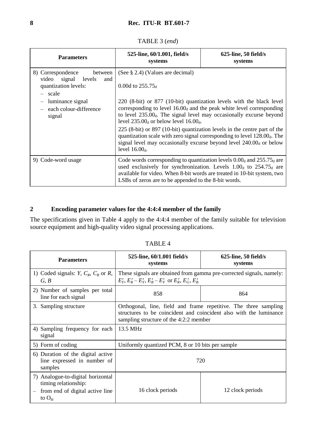## TABLE 3 (*end*)

| <b>Parameters</b>                                                                             | 525-line, 60/1.001, field/s<br>systems                                                                                                                                                                                                                                                                                                                                                                                                                                                                                                      | $625$ -line, 50 field/s<br>systems                                                                                                                                                                                                |  |  |
|-----------------------------------------------------------------------------------------------|---------------------------------------------------------------------------------------------------------------------------------------------------------------------------------------------------------------------------------------------------------------------------------------------------------------------------------------------------------------------------------------------------------------------------------------------------------------------------------------------------------------------------------------------|-----------------------------------------------------------------------------------------------------------------------------------------------------------------------------------------------------------------------------------|--|--|
| 8) Correspondence<br>between<br>video signal levels<br>and<br>quantization levels:<br>- scale | (See § 2.4) (Values are decimal)<br>0.00d to $255.75_d$                                                                                                                                                                                                                                                                                                                                                                                                                                                                                     |                                                                                                                                                                                                                                   |  |  |
| luminance signal<br>$\qquad \qquad -$<br>each colour-difference<br>signal                     | 220 (8-bit) or 877 (10-bit) quantization levels with the black level<br>corresponding to level $16.00d$ and the peak white level corresponding<br>to level 235.00 <sub>d</sub> . The signal level may occasionally excurse beyond<br>level $235.00_d$ or below level $16.00_d$ .<br>$225$ (8-bit) or 897 (10-bit) quantization levels in the centre part of the<br>quantization scale with zero signal corresponding to level $128.00d$ . The<br>signal level may occasionally excurse beyond level $240.00d$ or below<br>level $16.00_d$ . |                                                                                                                                                                                                                                   |  |  |
| 9) Code-word usage                                                                            | LSBs of zeros are to be appended to the 8-bit words.                                                                                                                                                                                                                                                                                                                                                                                                                                                                                        | Code words corresponding to quantization levels $0.00_d$ and $255.75_d$ are<br>used exclusively for synchronization. Levels $1.00_d$ to $254.75_d$ are<br>available for video. When 8-bit words are treated in 10-bit system, two |  |  |

# **2 Encoding parameter values for the 4:4:4 member of the family**

The specifications given in Table 4 apply to the 4:4:4 member of the family suitable for television source equipment and high-quality video signal processing applications.

| <b>Parameters</b>                                                                                          | 525-line, 60/1.001 field/s<br>systems                                                                                                                                            | $625$ -line, 50 field/s<br>systems |  |
|------------------------------------------------------------------------------------------------------------|----------------------------------------------------------------------------------------------------------------------------------------------------------------------------------|------------------------------------|--|
| 1) Coded signals: $Y, C_R, C_B$ or $R$ ,<br>G, B                                                           | These signals are obtained from gamma pre-corrected signals, namely:<br>$E'_Y, E'_R - E'_Y, E'_R - E'_Y$ or $E'_R, E'_G, E'_R$                                                   |                                    |  |
| 2) Number of samples per total<br>line for each signal                                                     | 858<br>864                                                                                                                                                                       |                                    |  |
| 3. Sampling structure                                                                                      | Orthogonal, line, field and frame repetitive. The three sampling<br>structures to be coincident and coincident also with the luminance<br>sampling structure of the 4:2:2 member |                                    |  |
| 4) Sampling frequency for each<br>signal                                                                   | 13.5 MHz                                                                                                                                                                         |                                    |  |
| 5) Form of coding                                                                                          | Uniformly quantized PCM, 8 or 10 bits per sample                                                                                                                                 |                                    |  |
| 6) Duration of the digital active<br>line expressed in number of<br>samples                                | 720                                                                                                                                                                              |                                    |  |
| 7) Analogue-to-digital horizontal<br>timing relationship:<br>from end of digital active line<br>to $O_{H}$ | 16 clock periods                                                                                                                                                                 | 12 clock periods                   |  |

#### TABLE 4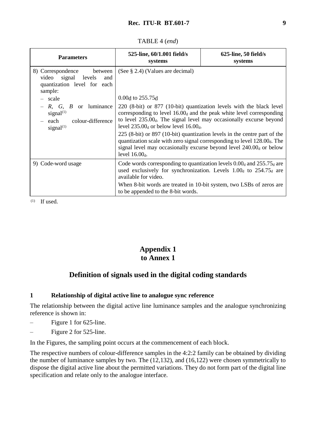### TABLE 4 (*end*)

| <b>Parameters</b>                                                                                               | 525-line, 60/1.001 field/s<br>systems                                                                                                                                                                                                                                                                                                                                                                                                                                                                                                                                          | $625$ -line, 50 field/s<br>systems                                                                                                                                                                                                               |  |
|-----------------------------------------------------------------------------------------------------------------|--------------------------------------------------------------------------------------------------------------------------------------------------------------------------------------------------------------------------------------------------------------------------------------------------------------------------------------------------------------------------------------------------------------------------------------------------------------------------------------------------------------------------------------------------------------------------------|--------------------------------------------------------------------------------------------------------------------------------------------------------------------------------------------------------------------------------------------------|--|
| 8) Correspondence<br>between<br>video signal levels<br>and<br>quantization level for each<br>sample:<br>- scale | (See $\S$ 2.4) (Values are decimal)                                                                                                                                                                                                                                                                                                                                                                                                                                                                                                                                            |                                                                                                                                                                                                                                                  |  |
| or luminance<br>$-R, G, B$<br>signal $^{(1)}$<br>colour-difference<br>– each<br>signal $(1)$                    | $0.00d$ to 255.75 $d$<br>220 (8-bit) or 877 (10-bit) quantization levels with the black level<br>corresponding to level $16.00_d$ and the peak white level corresponding<br>to level $235.00d$ . The signal level may occasionally excurse beyond<br>level $235.00_d$ or below level 16.00 <sub>d</sub> .<br>$225$ (8-bit) or 897 (10-bit) quantization levels in the centre part of the<br>quantization scale with zero signal corresponding to level $128.00d$ . The<br>signal level may occasionally excurse beyond level 240.00 <sub>d</sub> or below<br>level $16.00_d$ . |                                                                                                                                                                                                                                                  |  |
| 9) Code-word usage                                                                                              | available for video.<br>to be appended to the 8-bit words.                                                                                                                                                                                                                                                                                                                                                                                                                                                                                                                     | Code words corresponding to quantization levels $0.00_d$ and $255.75_d$ are<br>used exclusively for synchronization. Levels 1.00 <sub>d</sub> to 254.75 <sub>d</sub> are<br>When 8-bit words are treated in 10-bit system, two LSBs of zeros are |  |

(1) If used.

# **Appendix 1 to Annex 1**

# **Definition of signals used in the digital coding standards**

## **1 Relationship of digital active line to analogue sync reference**

The relationship between the digital active line luminance samples and the analogue synchronizing reference is shown in:

- Figure 1 for 625-line.
- Figure 2 for 525-line.

In the Figures, the sampling point occurs at the commencement of each block.

The respective numbers of colour-difference samples in the 4:2:2 family can be obtained by dividing the number of luminance samples by two. The (12,132), and (16,122) were chosen symmetrically to dispose the digital active line about the permitted variations. They do not form part of the digital line specification and relate only to the analogue interface.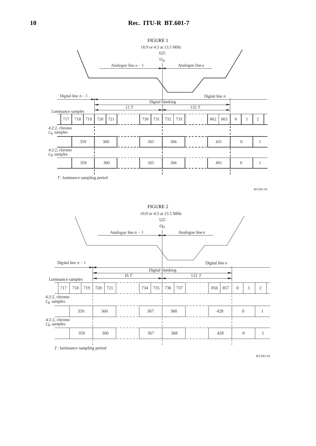

*T* : luminance sampling period

BT.601-02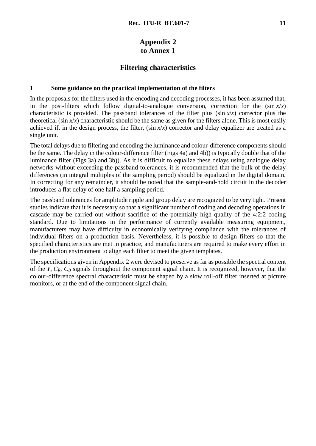# **Appendix 2 to Annex 1**

## **Filtering characteristics**

#### **1 Some guidance on the practical implementation of the filters**

In the proposals for the filters used in the encoding and decoding processes, it has been assumed that, in the post-filters which follow digital-to-analogue conversion, correction for the  $(\sin x/x)$ characteristic is provided. The passband tolerances of the filter plus (sin *x*/*x*) corrector plus the theoretical (sin  $x/x$ ) characteristic should be the same as given for the filters alone. This is most easily achieved if, in the design process, the filter,  $(\sin x/x)$  corrector and delay equalizer are treated as a single unit.

The total delays due to filtering and encoding the luminance and colour-difference components should be the same. The delay in the colour-difference filter (Figs 4a) and 4b)) is typically double that of the luminance filter (Figs 3a) and 3b)). As it is difficult to equalize these delays using analogue delay networks without exceeding the passband tolerances, it is recommended that the bulk of the delay differences (in integral multiples of the sampling period) should be equalized in the digital domain. In correcting for any remainder, it should be noted that the sample-and-hold circuit in the decoder introduces a flat delay of one half a sampling period.

The passband tolerances for amplitude ripple and group delay are recognized to be very tight. Present studies indicate that it is necessary so that a significant number of coding and decoding operations in cascade may be carried out without sacrifice of the potentially high quality of the 4:2:2 coding standard. Due to limitations in the performance of currently available measuring equipment, manufacturers may have difficulty in economically verifying compliance with the tolerances of individual filters on a production basis. Nevertheless, it is possible to design filters so that the specified characteristics are met in practice, and manufacturers are required to make every effort in the production environment to align each filter to meet the given templates.

The specifications given in Appendix 2 were devised to preserve as far as possible the spectral content of the *Y*, *CR*, *C<sup>B</sup>* signals throughout the component signal chain. It is recognized, however, that the colour-difference spectral characteristic must be shaped by a slow roll-off filter inserted at picture monitors, or at the end of the component signal chain.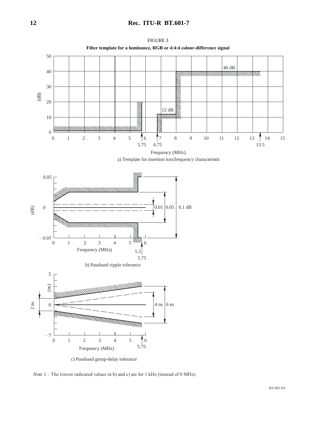

*Note 1* – The lowest indicated values in b) and c) are for 1 kHz (instead of 0 MHz).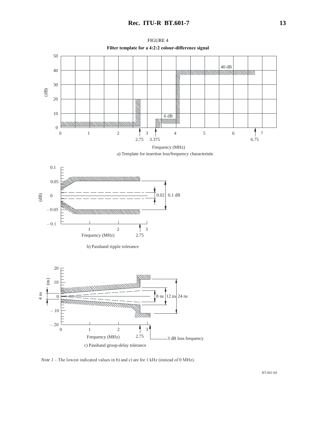

*Note 1* – The lowest indicated values in b) and c) are for 1 kHz (instead of 0 MHz).

BT.601-04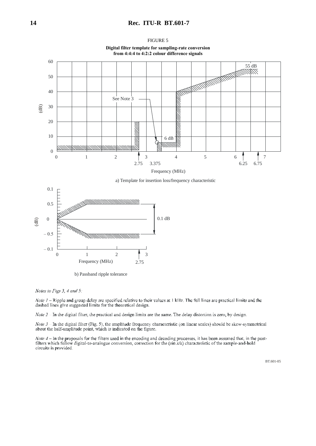#### **14 Rec. ITU-R BT.601-7**





**Digital filter template for sampling-rate conversion** 





b) Passband ripple tolerance

Notes to Figs 3, 4 and 5:

*Note 1* – Ripple and group delay are specified relative to their values at 1 kHz. The full lines are practical limits and the dashed lines give suggested limits for the theoretical design.

 $Note 2$  In the digital filter, the practical and design limits are the same. The delay distortion is zero, by design.

*Note 3* In the digital lilter (Fig. 5), the amplitude frequency characteristic (on linear scales) should be skew-symmetrical about the half-amplitude point, which is indicated on the figure.

Note  $4$  – In the proposals for the filters used in the encoding and decoding processes, it has been assumed that, in the postfilters which follow digital-to-analogue conversion, correction for the  $(\sin x/x)$  characteristic of the sample-and-hold circuits is provided.

BT.601-05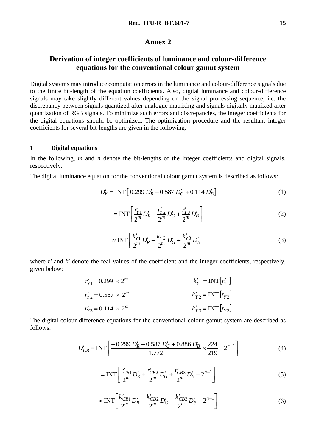### **Annex 2**

# **Derivation of integer coefficients of luminance and colour-difference equations for the conventional colour gamut system**

Digital systems may introduce computation errors in the luminance and colour-difference signals due to the finite bit-length of the equation coefficients. Also, digital luminance and colour-difference signals may take slightly different values depending on the signal processing sequence, i.e. the discrepancy between signals quantized after analogue matrixing and signals digitally matrixed after quantization of RGB signals. To minimize such errors and discrepancies, the integer coefficients for the digital equations should be optimized. The optimization procedure and the resultant integer coefficients for several bit-lengths are given in the following.

### **1 Digital equations**

In the following, *m* and *n* denote the bit-lengths of the integer coefficients and digital signals, respectively.

The digital luminance equation for the conventional colour gamut system is described as follows:

$$
D'_Y = \text{INT} [0.299 D'_R + 0.587 D'_G + 0.114 D'_B]
$$
 (1)

$$
= \text{INT}\left[\frac{r'_{Y1}}{2^m}D'_R + \frac{r'_{Y2}}{2^m}D'_G + \frac{r'_{Y3}}{2^m}D'_B\right]
$$
 (2)

$$
\approx \text{INT}\left[\frac{k'_{Y1}}{2^m}D'_R + \frac{k'_{Y2}}{2^m}D'_G + \frac{k'_{Y3}}{2^m}D'_B\right]
$$
 (3)

where *r'* and *k'* denote the real values of the coefficient and the integer coefficients, respectively, given below:

$$
r'_{Y1} = 0.299 \times 2^m
$$
  
\n
$$
r'_{Y2} = 0.587 \times 2^m
$$
  
\n
$$
r'_{Y3} = 0.114 \times 2^m
$$
  
\n
$$
k'_{Y2} = INT [r'_{Y2}]
$$
  
\n
$$
k'_{Y3} = INT [r'_{Y3}]
$$

The digital colour-difference equations for the conventional colour gamut system are described as follows:

$$
D'_{CB} = \text{INT}\left[\frac{-0.299 \, D'_R - 0.587 \, D'_G + 0.886 \, D'_B}{1.772} \times \frac{224}{219} + 2^{n-1}\right] \tag{4}
$$

$$
= \text{INT}\left[\frac{r'_{CB1}}{2^m}D'_R + \frac{r'_{CB2}}{2^m}D'_G + \frac{r'_{CB3}}{2^m}D'_B + 2^{n-1}\right]
$$
(5)

$$
\approx \text{INT}\left[\frac{k'_{CB1}}{2^m}D'_R + \frac{k'_{CB2}}{2^m}D'_G + \frac{k'_{CB3}}{2^m}D'_B + 2^{n-1}\right]
$$
(6)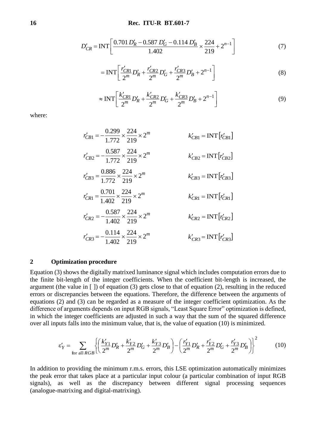$$
D'_{CR} = \text{INT}\left[\frac{0.701 \, D_R' - 0.587 \, D_G' - 0.114 \, D_B'}{1.402} \times \frac{224}{219} + 2^{n-1}\right] \tag{7}
$$

$$
= \text{INT}\left[\frac{r'_{CR1}}{2^m}D'_R + \frac{r'_{CR2}}{2^m}D'_G + \frac{r'_{CR3}}{2^m}D'_B + 2^{n-1}\right]
$$
(8)

$$
\approx \text{INT}\left[\frac{k'_{CR1}}{2^m}D'_R + \frac{k'_{CR2}}{2^m}D'_G + \frac{k'_{CR3}}{2^m}D'_B + 2^{n-1}\right]
$$
\n(9)

where:

 $r'_{CB1} = -\frac{0.299}{1.772} \times \frac{224}{219} \times 2^m$ 224 1.772  $K_{CB1} = -\frac{0.299}{1.772} \times \frac{224}{210} \times 2^m$   $K_{CB1}' = INT[r_{CB1}']$  $= \text{INT}\big[r'_C\big]$  $r'_{CB2} = -\frac{0.387}{1.772} \times \frac{224}{219} \times 2^m$ 224 1.772 0.587  $k'_{CB2} = -\frac{0.387}{1.772} \times \frac{224}{219} \times 2^m$   $k'_{CB2} = INT[r'_{CB2}]$  $k'_{CB2}$  = **INT**  $\left[r'_{CB}\right]$  $r'_{CB3} = \frac{0.886}{1.772} \times \frac{224}{219} \times 2^m$ 224 1.772  $K'_{CB3} = \frac{0.886}{1.772} \times \frac{224}{210} \times 2^m$   $K'_{CB3} = INT[r'_{CB3}]$  $= \text{INT}\big[r'_C\big]$  $r'_{CR1} = \frac{0.701}{1.402} \times \frac{224}{219} \times 2^m$ 224 1.402  $K_{CR1} = \frac{0.701}{1.402} \times \frac{224}{210} \times 2^m$   $K_{CR1} = \text{INT}[r_{CR1}']$  $= \text{INT}\big[r'_C\big]$  $r'_{CR2} = -\frac{0.387}{1.402} \times \frac{224}{219} \times 2^m$ 224 1.402  $K_{CR2} = -\frac{0.587}{1.402} \times \frac{224}{210} \times 2^m$   $K_{CR2} = INT[r_{CR2}^{\prime}]$  $= \text{INT}\left[r'_c\right]$  $r'_{CR3} = -\frac{0.114}{1.402} \times \frac{224}{219} \times 2^m$ 224 1.402 0.114  $K_{CR3} = -\frac{0.114}{1.402} \times \frac{224}{219} \times 2^m$   $K_{CR3} = INT[r_{CR3}']$  $= \text{INT}\big[r'_c\big]$ 

#### **2 Optimization procedure**

Equation (3) shows the digitally matrixed luminance signal which includes computation errors due to the finite bit-length of the integer coefficients. When the coefficient bit-length is increased, the argument (the value in  $\lceil \cdot \rceil$ ) of equation (3) gets close to that of equation (2), resulting in the reduced errors or discrepancies between the equations. Therefore, the difference between the arguments of equations (2) and (3) can be regarded as a measure of the integer coefficient optimization. As the difference of arguments depends on input RGB signals, "Least Square Error" optimization is defined, in which the integer coefficients are adjusted in such a way that the sum of the squared difference over all inputs falls into the minimum value, that is, the value of equation (10) is minimized.

$$
\varepsilon'_{Y} = \sum_{\text{for all } RGB} \left\{ \left( \frac{k'_{Y1}}{2^{m}} D'_{R} + \frac{k'_{Y2}}{2^{m}} D'_{G} + \frac{k'_{Y3}}{2^{m}} D'_{B} \right) - \left( \frac{r'_{Y1}}{2^{m}} D'_{R} + \frac{r'_{Y2}}{2^{m}} D'_{G} + \frac{r'_{Y3}}{2^{m}} D'_{B} \right) \right\}^{2} \tag{10}
$$

In addition to providing the minimum r.m.s. errors, this LSE optimization automatically minimizes the peak error that takes place at a particular input colour (a particular combination of input RGB signals), as well as the discrepancy between different signal processing sequences (analogue-matrixing and digital-matrixing).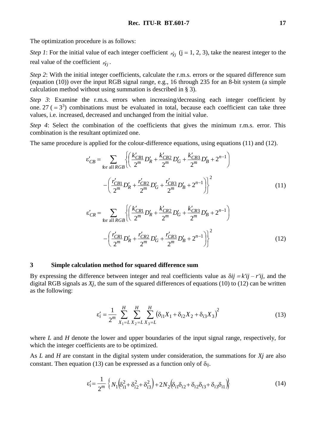The optimization procedure is as follows:

*Step 1*: For the initial value of each integer coefficient  $r_{Yj}$  ( $j = 1, 2, 3$ ), take the nearest integer to the real value of the coefficient  $r'_{Yj}$ .

*Step 2*: With the initial integer coefficients, calculate the r.m.s. errors or the squared difference sum (equation (10)) over the input RGB signal range, e.g., 16 through 235 for an 8-bit system (a simple calculation method without using summation is described in § 3).

*Step 3*: Examine the r.m.s. errors when increasing/decreasing each integer coefficient by one. 27 ( $= 3<sup>3</sup>$ ) combinations must be evaluated in total, because each coefficient can take three values, i.e. increased, decreased and unchanged from the initial value.

*Step 4*: Select the combination of the coefficients that gives the minimum r.m.s. error. This combination is the resultant optimized one.

The same procedure is applied for the colour-difference equations, using equations (11) and (12).

$$
\varepsilon'_{CB} = \sum_{\text{for all } RGB} \left\{ \left( \frac{k'_{CB1}}{2^m} D'_R + \frac{k'_{CB2}}{2^m} D'_G + \frac{k'_{CB3}}{2^m} D'_B + 2^{n-1} \right) \right\}
$$

$$
- \left( \frac{r'_{CB1}}{2^m} D'_R + \frac{r'_{CB2}}{2^m} D'_G + \frac{r'_{CB3}}{2^m} D'_B + 2^{n-1} \right) \right\}^2 \tag{11}
$$

$$
\varepsilon'_{CR} = \sum_{\text{for all } RGB} \left\{ \left( \frac{k'_{CR1}}{2^m} D'_R + \frac{k'_{CR2}}{2^m} D'_G + \frac{k'_{CR3}}{2^m} D'_B + 2^{n-1} \right) \right\}
$$

$$
- \left( \frac{r'_{CR1}}{2^m} D'_R + \frac{r'_{CR2}}{2^m} D'_G + \frac{r'_{CR3}}{2^m} D'_B + 2^{n-1} \right) \right\}^2 \tag{12}
$$

#### **3 Simple calculation method for squared difference sum**

By expressing the difference between integer and real coefficients value as  $\delta i j = k'i j - r'i j$ , and the digital RGB signals as *Xj*, the sum of the squared differences of equations (10) to (12) can be written as the following:

$$
\varepsilon_i' = \frac{1}{2^m} \sum_{X_1 = L}^H \sum_{X_2 = L}^H \sum_{X_3 = L}^H (\delta_{i1} X_1 + \delta_{i2} X_2 + \delta_{i3} X_3)^2
$$
(13)

where *L* and *H* denote the lower and upper boundaries of the input signal range, respectively, for which the integer coefficients are to be optimized.

As *L* and *H* are constant in the digital system under consideration, the summations for *Xj* are also constant. Then equation (13) can be expressed as a function only of  $\delta_{ii}$ .

$$
\varepsilon'_{i} = \frac{1}{2^{m}} \left\{ N_{1} \left( \delta_{i1}^{2} + \delta_{i2}^{2} + \delta_{i3}^{2} \right) + 2N_{2} \left( \delta_{i1} \delta_{i2} + \delta_{i2} \delta_{i3} + \delta_{i3} \delta_{i1} \right) \right\}
$$
(14)